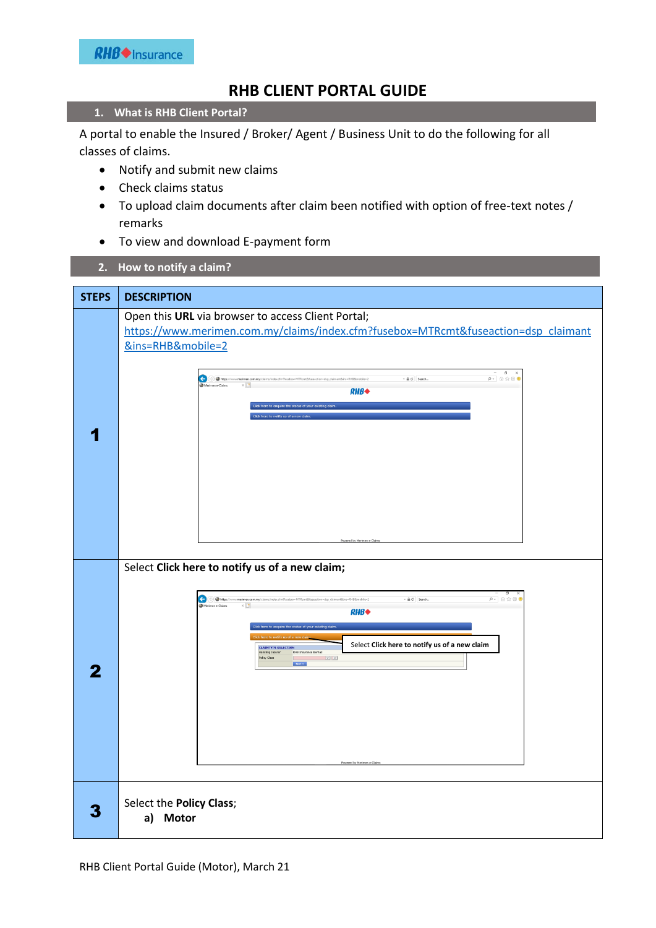## **RHB CLIENT PORTAL GUIDE**

## **1. What is RHB Client Portal?**

A portal to enable the Insured / Broker/ Agent / Business Unit to do the following for all classes of claims.

- Notify and submit new claims
- Check claims status
- To upload claim documents after claim been notified with option of free-text notes / remarks
- To view and download E-payment form
- **2. How to notify a claim?**

| <b>STEPS</b> | <b>DESCRIPTION</b>                                                                                                                                                                                                                                                                                                                |  |  |  |  |  |  |
|--------------|-----------------------------------------------------------------------------------------------------------------------------------------------------------------------------------------------------------------------------------------------------------------------------------------------------------------------------------|--|--|--|--|--|--|
|              | Open this URL via browser to access Client Portal;<br>https://www.merimen.com.my/claims/index.cfm?fusebox=MTRcmt&fuseaction=dsp_claimant<br>&ins=RHB&mobile=2                                                                                                                                                                     |  |  |  |  |  |  |
|              | $\begin{array}{ccccc}\n & - & 0 & \times \\ \hline\n\rho & \otimes & \otimes & 0\n\end{array}$<br>$\begin{tabular}{ll} $\ast$ & $\oplus$ &    Seeerch \end{tabular}$<br>e<br>$\Rightarrow$ Mtps://www.<br>ebox=MTRcmt&fuseaction=dsp_claimant&ins=RHB&mobile=2<br>$RHB*$<br>ick here to enquire the status of your existing clair |  |  |  |  |  |  |
|              |                                                                                                                                                                                                                                                                                                                                   |  |  |  |  |  |  |
|              |                                                                                                                                                                                                                                                                                                                                   |  |  |  |  |  |  |
|              | Select Click here to notify us of a new claim;<br>ø<br>dsp_claimant&ins=RHB&mobile=2<br>$\leftarrow \triangleq \circlearrowleft \quad \text{Search}$<br>$\oplus$ Mps<br>$\rho$ + $\Omega$ $\Omega$ $\oplus$ $\oplus$<br>$RHB*$<br>lick here to enquire the status of your existing claim.                                         |  |  |  |  |  |  |
| 7            | Select Click here to notify us of a new claim<br><b>CLAIMTYPE SELECTION</b><br>RHB Insurance Berhad<br>Handling Insurer<br>$ v $ $ v $<br>Policy Class<br>Next >>                                                                                                                                                                 |  |  |  |  |  |  |
|              | Powered by Merimen e-Cl                                                                                                                                                                                                                                                                                                           |  |  |  |  |  |  |
|              | Select the Policy Class;<br>a) Motor                                                                                                                                                                                                                                                                                              |  |  |  |  |  |  |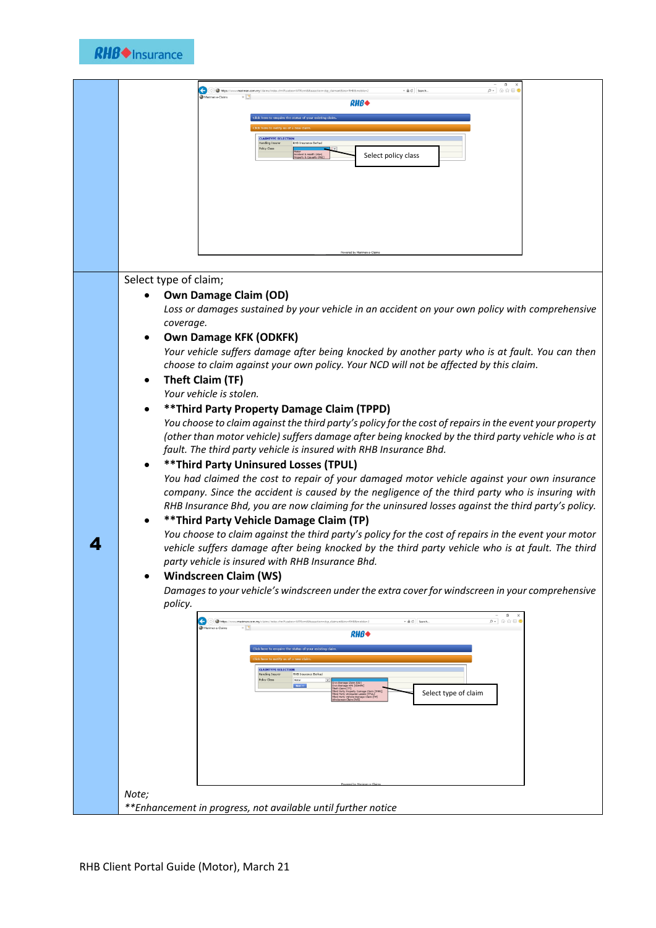| $\sigma \times$<br>$\rho$ = $\theta$ $\alpha \otimes \theta$<br>$\left( \begin{matrix} \mathbf{c} \end{matrix} \right)$<br>- A C Search<br>RHB♦                                                                                                                                                                                                                                                                                                                                                                                                                                                                                                                                                                                                                                                                                                                                                                                                                                                                                                                                                                                                                                                                                                                                                                                                                                                                                                                                                                                                                                                                                                                                                                                                                                                                                                                                                                                       |
|---------------------------------------------------------------------------------------------------------------------------------------------------------------------------------------------------------------------------------------------------------------------------------------------------------------------------------------------------------------------------------------------------------------------------------------------------------------------------------------------------------------------------------------------------------------------------------------------------------------------------------------------------------------------------------------------------------------------------------------------------------------------------------------------------------------------------------------------------------------------------------------------------------------------------------------------------------------------------------------------------------------------------------------------------------------------------------------------------------------------------------------------------------------------------------------------------------------------------------------------------------------------------------------------------------------------------------------------------------------------------------------------------------------------------------------------------------------------------------------------------------------------------------------------------------------------------------------------------------------------------------------------------------------------------------------------------------------------------------------------------------------------------------------------------------------------------------------------------------------------------------------------------------------------------------------|
| <b>LAIMTYPE SELECTIO</b><br>Select policy class<br>nt & Health (A&                                                                                                                                                                                                                                                                                                                                                                                                                                                                                                                                                                                                                                                                                                                                                                                                                                                                                                                                                                                                                                                                                                                                                                                                                                                                                                                                                                                                                                                                                                                                                                                                                                                                                                                                                                                                                                                                    |
| Powered by Merimen e-                                                                                                                                                                                                                                                                                                                                                                                                                                                                                                                                                                                                                                                                                                                                                                                                                                                                                                                                                                                                                                                                                                                                                                                                                                                                                                                                                                                                                                                                                                                                                                                                                                                                                                                                                                                                                                                                                                                 |
| Select type of claim;<br><b>Own Damage Claim (OD)</b><br>Loss or damages sustained by your vehicle in an accident on your own policy with comprehensive<br>coverage.<br><b>Own Damage KFK (ODKFK)</b><br>Your vehicle suffers damage after being knocked by another party who is at fault. You can then<br>choose to claim against your own policy. Your NCD will not be affected by this claim.<br><b>Theft Claim (TF)</b><br>Your vehicle is stolen.<br>** Third Party Property Damage Claim (TPPD)<br>You choose to claim against the third party's policy for the cost of repairs in the event your property<br>(other than motor vehicle) suffers damage after being knocked by the third party vehicle who is at<br>fault. The third party vehicle is insured with RHB Insurance Bhd.<br><b>** Third Party Uninsured Losses (TPUL)</b><br>You had claimed the cost to repair of your damaged motor vehicle against your own insurance<br>company. Since the accident is caused by the negligence of the third party who is insuring with<br>RHB Insurance Bhd, you are now claiming for the uninsured losses against the third party's policy.<br>** Third Party Vehicle Damage Claim (TP)<br>You choose to claim against the third party's policy for the cost of repairs in the event your motor<br>vehicle suffers damage after being knocked by the third party vehicle who is at fault. The third<br>party vehicle is insured with RHB Insurance Bhd.<br><b>Windscreen Claim (WS)</b><br>Damages to your vehicle's windscreen under the extra cover for windscreen in your comprehensive<br>policy.<br>$\overline{\phantom{a}}$<br>$\sigma$<br>- A C Search.<br>$\rho$ - $\alpha$ $\alpha$ $\circ$<br>←<br>Merimen e-Cla<br>RHB◆<br>lick here to enquire the status of your existing cla<br><b>CLAIMTYPE SELECTION</b><br><b>RHB Insurance Berhad</b><br>Handling Insurer<br>Policy Class<br>Select type of claim<br>Note; |
| **Enhancement in progress, not available until further notice                                                                                                                                                                                                                                                                                                                                                                                                                                                                                                                                                                                                                                                                                                                                                                                                                                                                                                                                                                                                                                                                                                                                                                                                                                                                                                                                                                                                                                                                                                                                                                                                                                                                                                                                                                                                                                                                         |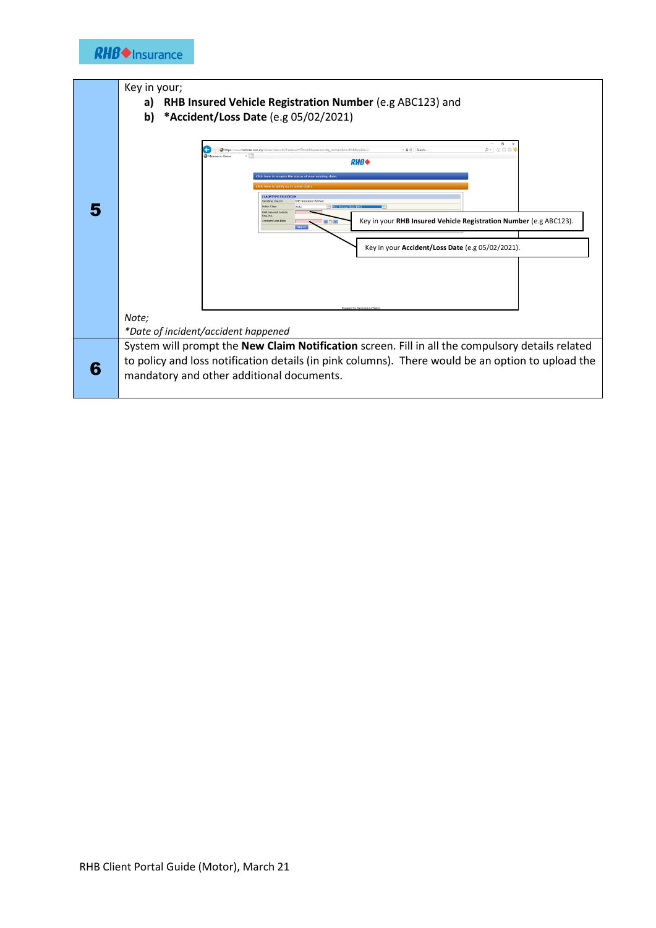

|   | Key in your;                                                                                                                                                            |  |  |  |  |  |  |
|---|-------------------------------------------------------------------------------------------------------------------------------------------------------------------------|--|--|--|--|--|--|
|   | RHB Insured Vehicle Registration Number (e.g ABC123) and<br>a)                                                                                                          |  |  |  |  |  |  |
|   |                                                                                                                                                                         |  |  |  |  |  |  |
|   | *Accident/Loss Date (e.g 05/02/2021)<br>b)                                                                                                                              |  |  |  |  |  |  |
|   |                                                                                                                                                                         |  |  |  |  |  |  |
|   | $\sigma$<br>$\rho - \alpha \otimes \otimes 0$<br>+ B C Search.<br>https://www.myrimes.com.mu/claims/index.cfm?fusebook/ITRcmt8/fuseaction.udso.claimant8insaRHR8mobilea |  |  |  |  |  |  |
|   | Merimen e-Clu<br><b>RHB</b>                                                                                                                                             |  |  |  |  |  |  |
|   |                                                                                                                                                                         |  |  |  |  |  |  |
|   | here to enquire the status of your existing claim<br>re to notify us of a new cla                                                                                       |  |  |  |  |  |  |
|   | <b>CLAIMTYPE SELECTION</b>                                                                                                                                              |  |  |  |  |  |  |
|   | Handling Insure<br><b>RHB Insurance Berhad</b><br><b>Policy Class</b><br>V Dun Dama                                                                                     |  |  |  |  |  |  |
|   | <b>RHB Insured Vehicle</b><br>Reg. No.<br>Key in your RHB Insured Vehicle Registration Number (e.g ABC123).<br>Accident/Loss Date                                       |  |  |  |  |  |  |
|   |                                                                                                                                                                         |  |  |  |  |  |  |
|   |                                                                                                                                                                         |  |  |  |  |  |  |
|   | Key in your Accident/Loss Date (e.g 05/02/2021).                                                                                                                        |  |  |  |  |  |  |
|   |                                                                                                                                                                         |  |  |  |  |  |  |
|   |                                                                                                                                                                         |  |  |  |  |  |  |
|   |                                                                                                                                                                         |  |  |  |  |  |  |
|   |                                                                                                                                                                         |  |  |  |  |  |  |
|   | Powered by Merimen e-Clair                                                                                                                                              |  |  |  |  |  |  |
|   | Note;                                                                                                                                                                   |  |  |  |  |  |  |
|   | *Date of incident/accident happened                                                                                                                                     |  |  |  |  |  |  |
|   | System will prompt the New Claim Notification screen. Fill in all the compulsory details related                                                                        |  |  |  |  |  |  |
|   | to policy and loss notification details (in pink columns). There would be an option to upload the                                                                       |  |  |  |  |  |  |
| 6 |                                                                                                                                                                         |  |  |  |  |  |  |
|   | mandatory and other additional documents.                                                                                                                               |  |  |  |  |  |  |
|   |                                                                                                                                                                         |  |  |  |  |  |  |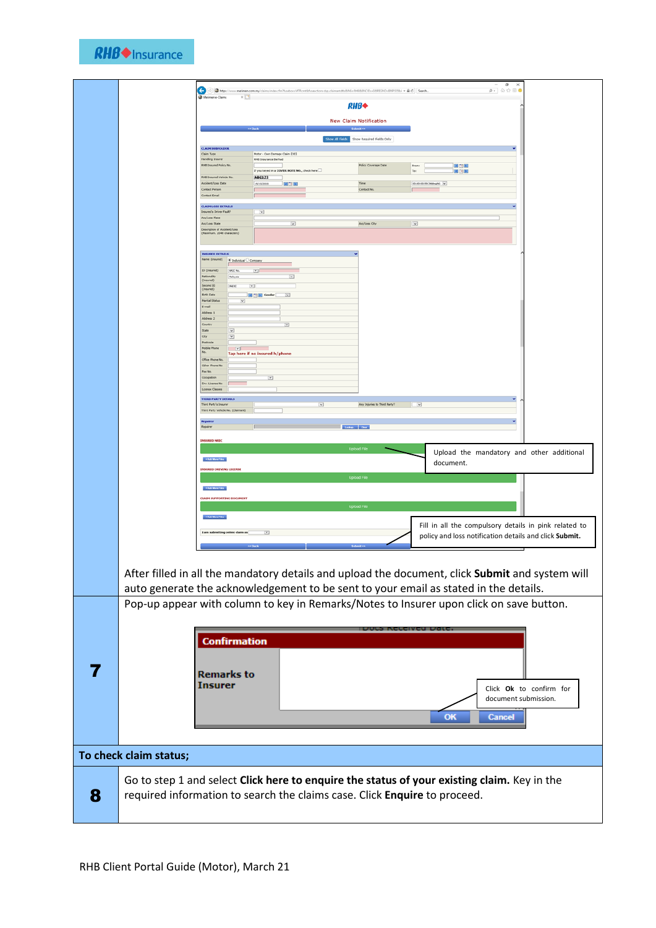

| $\leftarrow$                                                                                                                                                                            |                                                         | C) The https://www.merimen.com.my/claims/index.cfm?fuseboxxINTRcmt8dvseactions.dop_claimantdtb5LNGxISHB5BNGD1+3269EONO+ENP5055bl = A G  Search |                          | $ \sigma$ $\times$<br>$\rho$ + $\odot$ $\odot$ $\odot$ $\oplus$ |
|-----------------------------------------------------------------------------------------------------------------------------------------------------------------------------------------|---------------------------------------------------------|------------------------------------------------------------------------------------------------------------------------------------------------|--------------------------|-----------------------------------------------------------------|
| Merimen e-Claims                                                                                                                                                                        | $\times$ $\Box$                                         | <b>RHB</b>                                                                                                                                     |                          |                                                                 |
|                                                                                                                                                                                         |                                                         | <b>New Claim Notification</b>                                                                                                                  |                          |                                                                 |
|                                                                                                                                                                                         |                                                         | Show All Fields Show Required Fields Only                                                                                                      |                          |                                                                 |
| <b>CLAIM SUBFOLDER</b><br>Claim Type                                                                                                                                                    | Motor - Own Damage Claim [OD]                           |                                                                                                                                                |                          |                                                                 |
| <b>Handling Insurer</b><br>RHB Insured Policy No.                                                                                                                                       | RHB Insurance Berhad                                    | <b>Policy Coverage Date</b>                                                                                                                    | 國国国<br>From:             |                                                                 |
| <b>RHB Insured Vehicle No.</b>                                                                                                                                                          | If you looved in a COVER NOTE NO., check here<br>ABC123 | Time                                                                                                                                           | To:<br>国国国               |                                                                 |
| Accident/Loss Date<br>Contact Person<br>Contact Email                                                                                                                                   | ECE<br>15/10/2020                                       | Contact No.                                                                                                                                    | 00:00:00:59 (Mdnight) V  |                                                                 |
| <b>CLAIM LOSS DETAILS</b>                                                                                                                                                               |                                                         |                                                                                                                                                |                          |                                                                 |
| Insured's Driver Fault?<br>Aco/Loss Place<br>Acc/Loss State                                                                                                                             | $\overline{\mathbf{v}}$<br>$\overline{\phantom{a}}$     | Acc/Loss City                                                                                                                                  | $\overline{\phantom{a}}$ |                                                                 |
| Description of Accident/Loss<br>(Haximum, 2048 characters)                                                                                                                              |                                                         |                                                                                                                                                |                          |                                                                 |
| <b>INSURED DETAILS</b>                                                                                                                                                                  |                                                         |                                                                                                                                                |                          |                                                                 |
| Name (Insured)                                                                                                                                                                          | Individual C Company                                    |                                                                                                                                                |                          |                                                                 |
| ID (Insured)<br><b>NADC No.</b><br>Nationality<br>Malaysia<br>(Insured)                                                                                                                 | $\overline{\mathbb{E}}$<br>⊡                            |                                                                                                                                                |                          |                                                                 |
| Second ID<br>(Insured)<br>old sc<br><b>Birth Date</b>                                                                                                                                   | $\Box$<br>$\overline{\phantom{a}}$<br><b>EDE</b> Gender |                                                                                                                                                |                          |                                                                 |
| <b>Marital Status</b><br>E-mail                                                                                                                                                         | $\overline{\mathbf{v}}$                                 |                                                                                                                                                |                          |                                                                 |
| Address 1<br>Address 2<br>Country                                                                                                                                                       | $\overline{\phantom{a}}$                                |                                                                                                                                                |                          |                                                                 |
| State<br>$\overline{\mathbf{v}}$<br>City<br>⊡                                                                                                                                           |                                                         |                                                                                                                                                |                          |                                                                 |
| Postcode<br><b>Mobile Phone</b><br>$\sim$                                                                                                                                               | Tap here if no insured h/phone                          |                                                                                                                                                |                          |                                                                 |
| Office Phone No.<br>Other Phone No                                                                                                                                                      |                                                         |                                                                                                                                                |                          |                                                                 |
| Fax No.<br>Occupation                                                                                                                                                                   | $\overline{\mathbb{E}}$                                 |                                                                                                                                                |                          |                                                                 |
| Drv. License No<br>License Classes                                                                                                                                                      |                                                         |                                                                                                                                                |                          |                                                                 |
| <b>THIRD PARTY DETAILS</b><br>Third Party's Insurer                                                                                                                                     |                                                         | $\overline{\mathbf{v}}$<br>Any Injuries to Third Party?                                                                                        | $ -$                     |                                                                 |
| Third Party Vehicle No. (Claimant)                                                                                                                                                      |                                                         |                                                                                                                                                |                          |                                                                 |
| Repairer                                                                                                                                                                                |                                                         |                                                                                                                                                |                          |                                                                 |
| <b>INSURED NRIC</b>                                                                                                                                                                     |                                                         | <b>Upload File</b>                                                                                                                             |                          |                                                                 |
| + Add More Files                                                                                                                                                                        |                                                         |                                                                                                                                                |                          | Upload the mandatory and other additional                       |
| <b>INSURED DRIVING LICENSE</b>                                                                                                                                                          |                                                         | <b>Upload File</b>                                                                                                                             | document.                |                                                                 |
| + Add More Files                                                                                                                                                                        |                                                         |                                                                                                                                                |                          |                                                                 |
| <b>CLAIM SUPPORTING DOCUMENT</b>                                                                                                                                                        |                                                         | <b>Upload File</b>                                                                                                                             |                          |                                                                 |
| + Add More Files                                                                                                                                                                        |                                                         |                                                                                                                                                |                          |                                                                 |
| I am submitting online claim as                                                                                                                                                         | $\boxed{\mathbf{v}}$                                    |                                                                                                                                                |                          | Fill in all the compulsory details in pink related to           |
|                                                                                                                                                                                         |                                                         |                                                                                                                                                |                          | policy and loss notification details and click Submit.          |
| After filled in all the mandatory details and upload the document, click Submit and system will<br>auto generate the acknowledgement to be sent to your email as stated in the details. |                                                         |                                                                                                                                                |                          |                                                                 |
| Pop-up appear with column to key in Remarks/Notes to Insurer upon click on save button.                                                                                                 |                                                         |                                                                                                                                                |                          |                                                                 |
|                                                                                                                                                                                         |                                                         |                                                                                                                                                |                          |                                                                 |
| <b>Confirmation</b>                                                                                                                                                                     |                                                         |                                                                                                                                                |                          |                                                                 |
|                                                                                                                                                                                         |                                                         |                                                                                                                                                |                          |                                                                 |
|                                                                                                                                                                                         |                                                         |                                                                                                                                                |                          |                                                                 |
| <b>Remarks to</b>                                                                                                                                                                       |                                                         |                                                                                                                                                |                          |                                                                 |
| <b>Insurer</b>                                                                                                                                                                          |                                                         |                                                                                                                                                |                          | Click Ok to confirm for                                         |
|                                                                                                                                                                                         |                                                         |                                                                                                                                                |                          | document submission.                                            |
|                                                                                                                                                                                         |                                                         |                                                                                                                                                | <b>OK</b>                | <b>Cancel</b>                                                   |
|                                                                                                                                                                                         |                                                         |                                                                                                                                                |                          |                                                                 |
|                                                                                                                                                                                         |                                                         |                                                                                                                                                |                          |                                                                 |
| To check claim status;                                                                                                                                                                  |                                                         |                                                                                                                                                |                          |                                                                 |
| Go to step 1 and select Click here to enquire the status of your existing claim. Key in the                                                                                             |                                                         |                                                                                                                                                |                          |                                                                 |
| required information to search the claims case. Click Enquire to proceed.                                                                                                               |                                                         |                                                                                                                                                |                          |                                                                 |
|                                                                                                                                                                                         |                                                         |                                                                                                                                                |                          |                                                                 |
|                                                                                                                                                                                         |                                                         |                                                                                                                                                |                          |                                                                 |